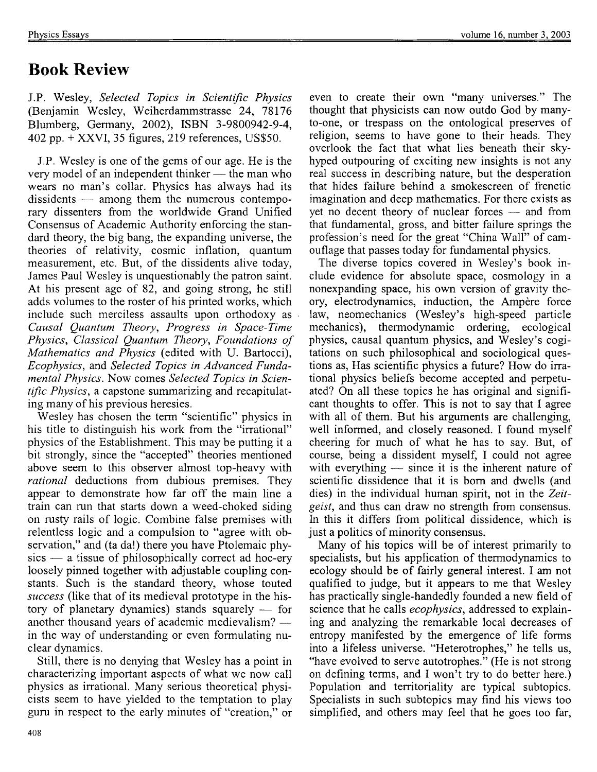## **Book Review**

J.P. Wesley, *Selected Topics in Scientific Physics*  (Benjamin Wesley, Weiherdammstrasse 24, 78176 Blumberg, Germany, 2002), ISBN 3-9800942-9-4, 402 pp. + XXVI, 35 figures, 219 references, US\$50.

J.P. Wesley is one of the gems of our age. He is the very model of an independent thinker  $-$  the man who wears no man's collar. Physics has always had its  $dissidents$  — among them the numerous contemporary dissenters from the worldwide Grand Unified Consensus of Academic Authority enforcing the standard theory, the big bang, the expanding universe, the theories of relativity, cosmic inflation, quantum measurement, etc. But, of the dissidents alive today, James Paul Wesley is unquestionably the patron saint. At his present age of 82, and going strong, he still adds volumes to the roster of his printed works, which include such merciless assaults upon orthodoxy as *Causal Quantum Theory, Progress in Space-Time Physics, Classical Quantum Theory, Foundations of Mathematics and Physics* (edited with U. Bartocci), *Ecophysics,* and *Selected Topics in Advanced Fundamental Physics.* Now comes *Selected Topics in Scientific Physics,* a capstone summarizing and recapitulating many of his previous heresies.

Wesley has chosen the term "scientific" physics in his title to distinguish his work from the "irrational" physics of the Establishment. This may be putting it a bit strongly, since the "accepted" theories mentioned above seem to this observer almost top-heavy with *rational* deductions from dubious premises. They appear to demonstrate how far off the main line a train can run that starts down a weed-choked siding on rusty rails of logic. Combine false premises with relentless logic and a compulsion to "agree with observation," and (ta da!) there you have Ptolemaic phy $sics - a$  tissue of philosophically correct ad hoc-ery loosely pinned together with adjustable coupling constants. Such is the standard theory, whose touted *success* (like that of its medieval prototype in the history of planetary dynamics) stands squarely  $-$  for another thousand years of academic medievalism? -in the way of understanding or even formulating nuclear dynamics.

Still, there is no denying that Wesley has a point in characterizing important aspects of what we now call physics as irrational. Many serious theoretical physicists seem to have yielded to the temptation to play guru in respect to the early minutes of "creation," or even to create their own "many universes." The thought that physicists can now outdo God by manyto-one, or trespass on the ontological preserves of religion, seems to have gone to their heads. They overlook the fact that what lies beneath their skyhyped outpouring of exciting new insights is not any real success in describing nature, but the desperation that hides failure behind a smokescreen of frenetic imagination and deep mathematics. For there exists as yet no decent theory of nuclear forces  $-$  and from that fundamental, gross, and bitter failure springs the profession's need for the great "China Wall" of camouflage that passes today for fundamental physics.

The diverse topics covered in Wesley's book include evidence for absolute space, cosmology in a nonexpanding space, his own version of gravity theory, electrodynamics, induction, the Ampère force law, neomechanics (Westey's high-speed particle mechanics), thermodynamic ordering, ecological physics, causal quantum physics, and Wesley's cogitations on such philosophical and sociological questions as, Has scientific physics a future? How do irrational physics beliefs become accepted and perpetuated? On all these topics he has original and significant thoughts to offer. This is not to say that I agree with all of them. But his arguments are challenging, well informed, and closely reasoned. I found myself cheering for much of what he has to say. But, of course, being a dissident myself, I could not agree with everything  $-$  since it is the inherent nature of scientific dissidence that it is born and dwells (and dies) in the individual human spirit, not in the *Zeitgeist,* and thus can draw no strength from consensus. In this it differs from political dissidence, which is just a politics of minority consensus.

Many of his topics will be of interest primarily to specialists, but his application of thermodynamics to ecology should be of fairly general interest. I am not qualified to judge, but it appears to me that Wesley has practically single-handedly founded a new field of science that he calls *ecophysics,* addressed to explaining and analyzing the remarkable local decreases of entropy manifested by the emergence of life forms into a lifeless universe. "Heterotrophes," he tells us, "have evolved to serve autotrophes." (He is not strong on defining terms, and I won't try to do better here.) Population and territoriality are typical subtopics. Specialists in such subtopics may find his views too simplified, and others may feel that he goes too far,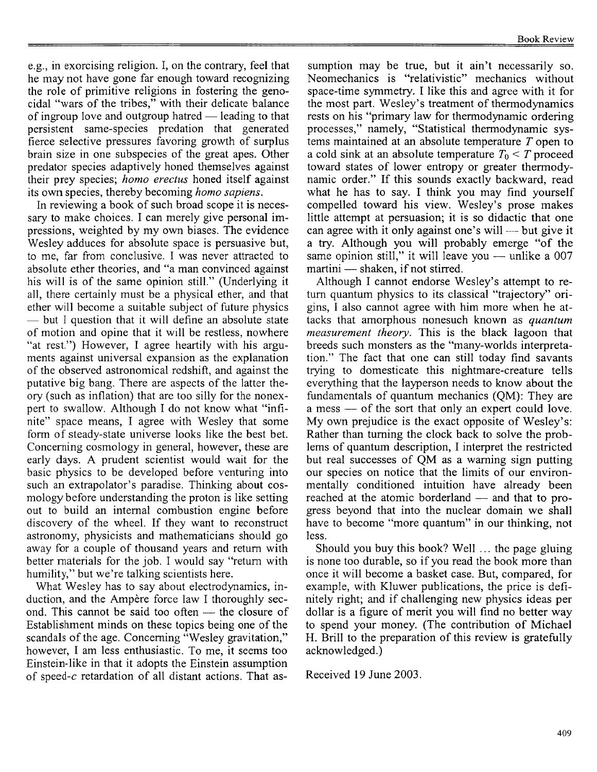e.g., in exorcising religion. I, on the contrary, feel that he may not have gone far enough toward recognizing the role of primitive religions in fostering the genocidal "wars of the tribes," with their delicate balance of ingroup love and outgroup hatred  $-$  leading to that persistent same-species predation that generated fierce selective pressures favoring growth of surplus brain size in one subspecies of the great apes. Other predator species adaptively honed themselves against their prey species; *homo erectus* honed itself against its own species, thereby becoming *homo sapiens.* 

In reviewing a book of such broad scope it is necessary to make choices. I can merely give personal impressions, weighted by my own biases. The evidence Wesley adduces for absolute space is persuasive but, to me, far from conclusive. I was never attracted to absolute ether theories, and "a man convinced against his will is of the same opinion still." (Underlying it all, there certainly must be a physical ether, and that ether will become a suitable subject of future physics **--** but I question that it will define an absolute state of motion and opine that it will be restless, nowhere "at rest.") However, I agree heartily with his arguments against universal expansion as the explanation of the observed astronomical redshift, and against the putative big bang. There are aspects of the latter theory (such as inflation) that are too silly for the nonexpert to swallow. Although I do not know what "infinite" space means, I agree with Wesley that some form of steady-state universe looks like the best bet. Concerning cosmology in general, however, these are early days. A prudent scientist would wait for the basic physics to be developed before venturing into such an extrapolator's paradise. Thinking about cosmology before understanding the proton is like setting out to build an internal combustion engine before discovery of the wheel. If they want to reconstmct astronomy, physicists and mathematicians should go away for a couple of thousand years and return with better materials for the job. I would say "return with humility," but we're talking scientists here.

What Wesley has to say about electrodynamics, induction, and the Ampère force law I thoroughly second. This cannot be said too often - the closure of Establishment minds on these topics being one of the scandals of the age. Concerning "Wesley gravitation," however, I am less enthusiastic. To me, it seems too Einstein-like in that it adopts the Einstein assumption of speed-c retardation of all distant actions. That as-

sumption may be true, but it ain't necessarily so. Neomechanics is "relativistic" mechanics without space-time symmetry. I like this and agree with it for the most part. Wesley's treatment of thermodynamics rests on his "primary law for thermodynamic ordering processes," namely, "Statistical thermodynamic systems maintained at an absolute temperature T open to a cold sink at an absolute temperature  $T_0 \leq T$  proceed toward states of lower entropy or greater thermodynamic order." If this sounds exactly backward, read what he has to say. I think you may find yourself compelled toward his view. Wesley's prose makes little attempt at persuasion; it is so didactic that one can agree with it only against one's will  $-$  but give it a try. Although you will probably emerge "of the same opinion still," it will leave you  $-$  unlike a 007 martini - shaken, if not stirred.

Although I cannot endorse Wesley's attempt to return quantum physics to its classical "trajectory" origins, I also cannot agree with him more when he attacks that amorphous nonesuch known as *quantum measurement theory.* This is the black lagoon that breeds such monsters as the "many-worlds interpretation." The fact that one can still today find savants trying to domesticate this nightmare-creature tells everything that the layperson needs to know about the fundamentals of quantum mechanics (QM): They are a mess — of the sort that only an expert could love. My own prejudice is the exact opposite of Wesley's: Rather than turning the clock back to solve the problems of quantum description, I interpret the restricted but real successes of QM as a warning sign putting our species on notice that the limits of our environmentally conditioned intuition have already been reached at the atomic borderland  $-$  and that to progress beyond that into the nuclear domain we shall have to become "more quantum" in our thinking, not less.

Should you buy this book? Well ... the page gluing is none too durable, so if you read the book more than once it will become a basket case. But, compared, for example, with Kluwer publications, the price is definitely right; and if challenging new physics ideas per dollar is a figure of merit you will find no better way to spend your money. (The contribution of Michael H. Brill to the preparation of this review is gratefully acknowledged.)

Received 19 June 2003.